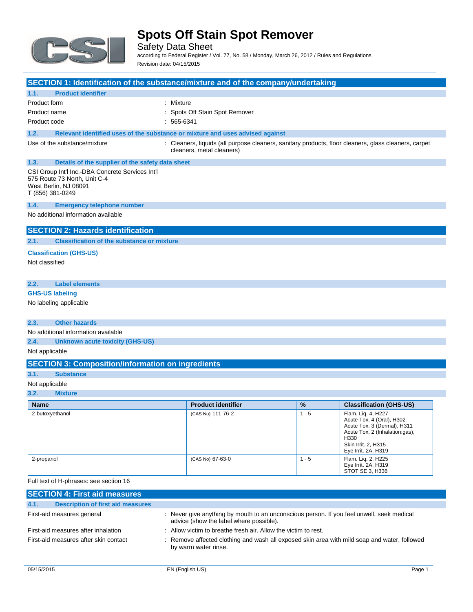

Safety Data Sheet according to Federal Register / Vol. 77, No. 58 / Monday, March 26, 2012 / Rules and Regulations

Revision date: 04/15/2015

|                                                                                                                               | SECTION 1: Identification of the substance/mixture and of the company/undertaking                                                 |               |                                                 |
|-------------------------------------------------------------------------------------------------------------------------------|-----------------------------------------------------------------------------------------------------------------------------------|---------------|-------------------------------------------------|
| 1.1.<br><b>Product identifier</b>                                                                                             |                                                                                                                                   |               |                                                 |
| Product form                                                                                                                  | : Mixture                                                                                                                         |               |                                                 |
| Product name                                                                                                                  | : Spots Off Stain Spot Remover                                                                                                    |               |                                                 |
| Product code                                                                                                                  | $: 565-6341$                                                                                                                      |               |                                                 |
| 1.2.                                                                                                                          | Relevant identified uses of the substance or mixture and uses advised against                                                     |               |                                                 |
| Use of the substance/mixture                                                                                                  | : Cleaners, liquids (all purpose cleaners, sanitary products, floor cleaners, glass cleaners, carpet<br>cleaners, metal cleaners) |               |                                                 |
| 1.3.                                                                                                                          | Details of the supplier of the safety data sheet                                                                                  |               |                                                 |
| CSI Group Int'l Inc.-DBA Concrete Services Int'l<br>575 Route 73 North, Unit C-4<br>West Berlin, NJ 08091<br>T (856) 381-0249 |                                                                                                                                   |               |                                                 |
| 1.4.<br><b>Emergency telephone number</b>                                                                                     |                                                                                                                                   |               |                                                 |
| No additional information available                                                                                           |                                                                                                                                   |               |                                                 |
| <b>SECTION 2: Hazards identification</b>                                                                                      |                                                                                                                                   |               |                                                 |
| 2.1.<br><b>Classification of the substance or mixture</b>                                                                     |                                                                                                                                   |               |                                                 |
| <b>Classification (GHS-US)</b>                                                                                                |                                                                                                                                   |               |                                                 |
| Not classified                                                                                                                |                                                                                                                                   |               |                                                 |
|                                                                                                                               |                                                                                                                                   |               |                                                 |
| 2.2.<br><b>Label elements</b>                                                                                                 |                                                                                                                                   |               |                                                 |
| <b>GHS-US labeling</b>                                                                                                        |                                                                                                                                   |               |                                                 |
| No labeling applicable                                                                                                        |                                                                                                                                   |               |                                                 |
|                                                                                                                               |                                                                                                                                   |               |                                                 |
| <b>Other hazards</b><br>2.3.                                                                                                  |                                                                                                                                   |               |                                                 |
| No additional information available                                                                                           |                                                                                                                                   |               |                                                 |
| 2.4.<br><b>Unknown acute toxicity (GHS-US)</b>                                                                                |                                                                                                                                   |               |                                                 |
| Not applicable                                                                                                                |                                                                                                                                   |               |                                                 |
|                                                                                                                               | <b>SECTION 3: Composition/information on ingredients</b>                                                                          |               |                                                 |
| 3.1.<br><b>Substance</b>                                                                                                      |                                                                                                                                   |               |                                                 |
| Not applicable                                                                                                                |                                                                                                                                   |               |                                                 |
| 3.2.<br><b>Mixture</b>                                                                                                        |                                                                                                                                   |               |                                                 |
| <b>Name</b>                                                                                                                   | <b>Product identifier</b>                                                                                                         | $\frac{9}{6}$ | <b>Classification (GHS-US)</b>                  |
| 2-butoxyethanol                                                                                                               | (CAS No) 111-76-2                                                                                                                 | $1 - 5$       | Flam. Lig. 4, H227<br>Acute Tox. 4 (Oral), H302 |

| .               |                   | . .     | 9.499111941191119119997                                                                                                                                                |
|-----------------|-------------------|---------|------------------------------------------------------------------------------------------------------------------------------------------------------------------------|
| 2-butoxyethanol | (CAS No) 111-76-2 | $1 - 5$ | Flam. Liq. 4, H227<br>Acute Tox. 4 (Oral), H302<br>Acute Tox. 3 (Dermal), H311<br>Acute Tox. 2 (Inhalation:gas),<br>H330<br>Skin Irrit. 2, H315<br>Eye Irrit. 2A, H319 |
| 2-propanol      | (CAS No) 67-63-0  | $1 - 5$ | Flam. Lig. 2, H225<br>Eye Irrit. 2A, H319<br>STOT SE 3, H336                                                                                                           |

Full text of H-phrases: see section 16

| <b>SECTION 4: First aid measures</b>             |                                                                                                                                      |
|--------------------------------------------------|--------------------------------------------------------------------------------------------------------------------------------------|
| 4.1.<br><b>Description of first aid measures</b> |                                                                                                                                      |
| First-aid measures general                       | : Never give anything by mouth to an unconscious person. If you feel unwell, seek medical<br>advice (show the label where possible). |
| First-aid measures after inhalation              | : Allow victim to breathe fresh air. Allow the victim to rest.                                                                       |
| First-aid measures after skin contact            | : Remove affected clothing and wash all exposed skin area with mild soap and water, followed<br>by warm water rinse.                 |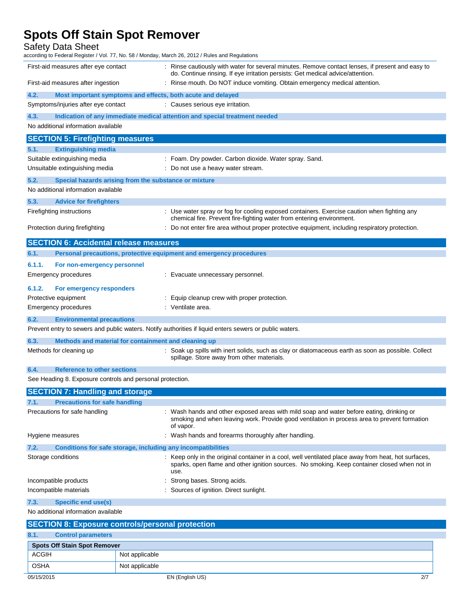Safety Data Sheet

according to Federal Register / Vol. 77, No. 58 / Monday, March 26, 2012 / Rules and Regulations First-aid measures after eye contact : Rinse cautiously with water for several minutes. Remove contact lenses, if present and easy to

|        |                                                                            | do. Continue rinsing. If eye irritation persists: Get medical advice/attention.                                                                                      |
|--------|----------------------------------------------------------------------------|----------------------------------------------------------------------------------------------------------------------------------------------------------------------|
|        | First-aid measures after ingestion                                         | : Rinse mouth. Do NOT induce vomiting. Obtain emergency medical attention.                                                                                           |
| 4.2.   | Most important symptoms and effects, both acute and delayed                |                                                                                                                                                                      |
|        | Symptoms/injuries after eye contact                                        | : Causes serious eye irritation.                                                                                                                                     |
| 4.3.   | Indication of any immediate medical attention and special treatment needed |                                                                                                                                                                      |
|        | No additional information available                                        |                                                                                                                                                                      |
|        | <b>SECTION 5: Firefighting measures</b>                                    |                                                                                                                                                                      |
| 5.1.   | <b>Extinguishing media</b>                                                 |                                                                                                                                                                      |
|        | Suitable extinguishing media                                               | : Foam. Dry powder. Carbon dioxide. Water spray. Sand.                                                                                                               |
|        | Unsuitable extinguishing media                                             | : Do not use a heavy water stream.                                                                                                                                   |
| 5.2.   | Special hazards arising from the substance or mixture                      |                                                                                                                                                                      |
|        | No additional information available                                        |                                                                                                                                                                      |
| 5.3.   | <b>Advice for firefighters</b>                                             |                                                                                                                                                                      |
|        | Firefighting instructions                                                  | : Use water spray or fog for cooling exposed containers. Exercise caution when fighting any<br>chemical fire. Prevent fire-fighting water from entering environment. |
|        | Protection during firefighting                                             | : Do not enter fire area without proper protective equipment, including respiratory protection.                                                                      |
|        |                                                                            |                                                                                                                                                                      |
|        | <b>SECTION 6: Accidental release measures</b>                              |                                                                                                                                                                      |
| 6.1.   | Personal precautions, protective equipment and emergency procedures        |                                                                                                                                                                      |
| 6.1.1. | For non-emergency personnel                                                |                                                                                                                                                                      |
|        | Emergency procedures                                                       | : Evacuate unnecessary personnel.                                                                                                                                    |
| 6.1.2. | For emergency responders                                                   |                                                                                                                                                                      |
|        | Protective equipment                                                       | : Equip cleanup crew with proper protection.                                                                                                                         |
|        | <b>Emergency procedures</b>                                                | : Ventilate area.                                                                                                                                                    |
| 6.2.   | <b>Environmental precautions</b>                                           |                                                                                                                                                                      |
|        |                                                                            | Prevent entry to sewers and public waters. Notify authorities if liquid enters sewers or public waters.                                                              |
| 6.3.   | Methods and material for containment and cleaning up                       |                                                                                                                                                                      |
|        | Methods for cleaning up                                                    | : Soak up spills with inert solids, such as clay or diatomaceous earth as soon as possible. Collect<br>spillage. Store away from other materials.                    |
| 6.4.   | <b>Reference to other sections</b>                                         |                                                                                                                                                                      |
|        | See Heading 8. Exposure controls and personal protection.                  |                                                                                                                                                                      |
|        | <b>SECTION 7: Handling and storage</b>                                     |                                                                                                                                                                      |

| 7.1. | <b>Precautions for safe handling</b>                         |                                                                                                                                                                                                              |
|------|--------------------------------------------------------------|--------------------------------------------------------------------------------------------------------------------------------------------------------------------------------------------------------------|
|      | Precautions for safe handling                                | : Wash hands and other exposed areas with mild soap and water before eating, drinking or<br>smoking and when leaving work. Provide good ventilation in process area to prevent formation<br>of vapor.        |
|      | Hygiene measures                                             | : Wash hands and forearms thoroughly after handling.                                                                                                                                                         |
| 7.2. | Conditions for safe storage, including any incompatibilities |                                                                                                                                                                                                              |
|      | Storage conditions                                           | : Keep only in the original container in a cool, well ventilated place away from heat, hot surfaces,<br>sparks, open flame and other ignition sources. No smoking. Keep container closed when not in<br>use. |
|      | Incompatible products                                        | : Strong bases. Strong acids.                                                                                                                                                                                |
|      | Incompatible materials                                       | : Sources of ignition. Direct sunlight.                                                                                                                                                                      |
| 7.3. | Specific end use(s)                                          |                                                                                                                                                                                                              |

No additional information available

|              |                                     | <b>SECTION 8: Exposure controls/personal protection</b> |     |
|--------------|-------------------------------------|---------------------------------------------------------|-----|
| 8.1.         | <b>Control parameters</b>           |                                                         |     |
|              | <b>Spots Off Stain Spot Remover</b> |                                                         |     |
| <b>ACGIH</b> |                                     | Not applicable                                          |     |
| <b>OSHA</b>  |                                     | Not applicable                                          |     |
| 05/15/2015   |                                     | EN (English US)                                         | 2/7 |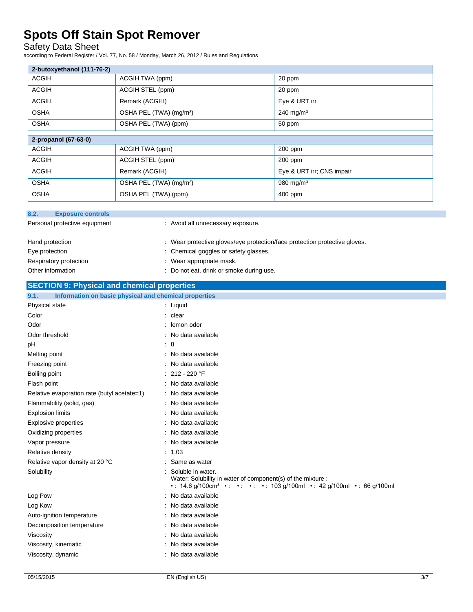#### Safety Data Sheet

according to Federal Register / Vol. 77, No. 58 / Monday, March 26, 2012 / Rules and Regulations

| 2-butoxyethanol (111-76-2) |                                     |                           |
|----------------------------|-------------------------------------|---------------------------|
| <b>ACGIH</b>               | ACGIH TWA (ppm)                     | 20 ppm                    |
| <b>ACGIH</b>               | ACGIH STEL (ppm)                    | 20 ppm                    |
| <b>ACGIH</b>               | Remark (ACGIH)                      | Eye & URT irr             |
| <b>OSHA</b>                | OSHA PEL (TWA) (mg/m <sup>3</sup> ) | $240$ mg/m <sup>3</sup>   |
| <b>OSHA</b>                | OSHA PEL (TWA) (ppm)                | 50 ppm                    |
| 2-propanol (67-63-0)       |                                     |                           |
| <b>ACGIH</b>               | ACGIH TWA (ppm)                     | 200 ppm                   |
| <b>ACGIH</b>               | ACGIH STEL (ppm)                    | $200$ ppm                 |
| <b>ACGIH</b>               | Remark (ACGIH)                      | Eye & URT irr; CNS impair |
| <b>OSHA</b>                | OSHA PEL (TWA) (mg/m <sup>3</sup> ) | $980$ mg/m <sup>3</sup>   |
| <b>OSHA</b>                | OSHA PEL (TWA) (ppm)                | 400 ppm                   |

| 8.2.<br><b>Exposure controls</b>                              |                                                                                                                                                                             |
|---------------------------------------------------------------|-----------------------------------------------------------------------------------------------------------------------------------------------------------------------------|
|                                                               |                                                                                                                                                                             |
| Personal protective equipment                                 | : Avoid all unnecessary exposure.                                                                                                                                           |
| Hand protection                                               | : Wear protective gloves/eye protection/face protection protective gloves.                                                                                                  |
| Eye protection                                                | : Chemical goggles or safety glasses.                                                                                                                                       |
| Respiratory protection                                        | : Wear appropriate mask.                                                                                                                                                    |
| Other information                                             | : Do not eat, drink or smoke during use.                                                                                                                                    |
| <b>SECTION 9: Physical and chemical properties</b>            |                                                                                                                                                                             |
| Information on basic physical and chemical properties<br>9.1. |                                                                                                                                                                             |
| Physical state                                                | : Liquid                                                                                                                                                                    |
| Color                                                         | : clear                                                                                                                                                                     |
| Odor                                                          | : lemon odor                                                                                                                                                                |
| Odor threshold                                                | : No data available                                                                                                                                                         |
| pH                                                            | : 8                                                                                                                                                                         |
| Melting point                                                 | : No data available                                                                                                                                                         |
| Freezing point                                                | : No data available                                                                                                                                                         |
| Boiling point                                                 | $: 212 - 220$ °F                                                                                                                                                            |
| Flash point                                                   | : No data available                                                                                                                                                         |
| Relative evaporation rate (butyl acetate=1)                   | : No data available                                                                                                                                                         |
| Flammability (solid, gas)                                     | : No data available                                                                                                                                                         |
| <b>Explosion limits</b>                                       | : No data available                                                                                                                                                         |
| <b>Explosive properties</b>                                   | : No data available                                                                                                                                                         |
| Oxidizing properties                                          | : No data available                                                                                                                                                         |
| Vapor pressure                                                | : No data available                                                                                                                                                         |
| Relative density                                              | : 1.03                                                                                                                                                                      |
| Relative vapor density at 20 °C                               | : Same as water                                                                                                                                                             |
| Solubility                                                    | Soluble in water.<br>Water: Solubility in water of component(s) of the mixture :<br>• : 14.6 g/100cm <sup>3</sup> • : • : • : • : 103 g/100ml • : 42 g/100ml • : 66 g/100ml |
| Log Pow                                                       | : No data available                                                                                                                                                         |
| Log Kow                                                       | : No data available                                                                                                                                                         |
| Auto-ignition temperature                                     | : No data available                                                                                                                                                         |
| Decomposition temperature                                     | : No data available                                                                                                                                                         |
| Viscosity                                                     | : No data available                                                                                                                                                         |

Viscosity, kinematic **intervalse in the Contract Contract Contract Contract Contract Contract Contract Contract Contract Contract Contract Contract Contract Contract Contract Contract Contract Contract Contract Contract Co** Viscosity, dynamic **intervalse in the Contract of Contract Available** : No data available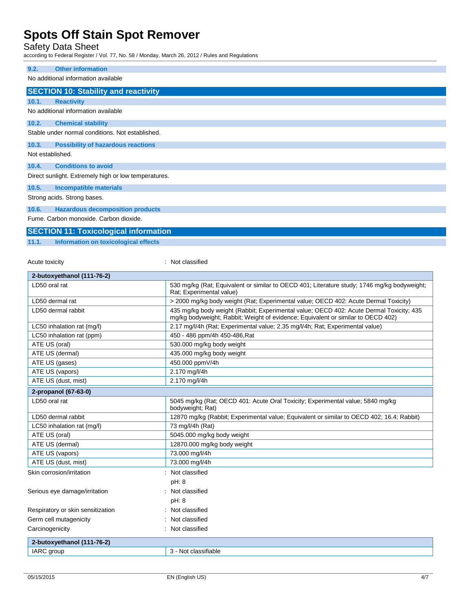Safety Data Sheet

according to Federal Register / Vol. 77, No. 58 / Monday, March 26, 2012 / Rules and Regulations

| 9.2.             | <b>Other information</b>                             |
|------------------|------------------------------------------------------|
|                  | No additional information available                  |
|                  |                                                      |
|                  | <b>SECTION 10: Stability and reactivity</b>          |
| 10.1.            | <b>Reactivity</b>                                    |
|                  | No additional information available                  |
| 10.2.            | <b>Chemical stability</b>                            |
|                  | Stable under normal conditions. Not established.     |
| 10.3.            | <b>Possibility of hazardous reactions</b>            |
| Not established. |                                                      |
|                  |                                                      |
| 10.4.            | <b>Conditions to avoid</b>                           |
|                  | Direct sunlight. Extremely high or low temperatures. |
| 10.5.            | <b>Incompatible materials</b>                        |
|                  | Strong acids. Strong bases.                          |
| 10.6.            | <b>Hazardous decomposition products</b>              |
|                  | Fume Carbon monovide Carbon diovide                  |

Fume. Carbon monoxide. Carbon dioxide.

### **SECTION 11: Toxicological information**

#### **11.1. Information on toxicological effects**

Acute toxicity **in the case of the case of the case of the case of the case of the case of the case of the case of the case of the case of the case of the case of the case of the case of the case of the case of the case of** 

| 2-butoxyethanol (111-76-2)        |                                                                                                                                                                             |
|-----------------------------------|-----------------------------------------------------------------------------------------------------------------------------------------------------------------------------|
| LD50 oral rat                     | 530 mg/kg (Rat: Equivalent or similar to OECD 401; Literature study; 1746 mg/kg bodyweight;<br>Rat; Experimental value)                                                     |
| LD50 dermal rat                   | > 2000 mg/kg body weight (Rat; Experimental value; OECD 402: Acute Dermal Toxicity)                                                                                         |
| LD50 dermal rabbit                | 435 mg/kg body weight (Rabbit; Experimental value; OECD 402: Acute Dermal Toxicity; 435<br>mg/kg bodyweight; Rabbit; Weight of evidence; Equivalent or similar to OECD 402) |
| LC50 inhalation rat (mg/l)        | 2.17 mg/l/4h (Rat; Experimental value; 2.35 mg/l/4h; Rat; Experimental value)                                                                                               |
| LC50 inhalation rat (ppm)         | 450 - 486 ppm/4h 450-486, Rat                                                                                                                                               |
| ATE US (oral)                     | 530.000 mg/kg body weight                                                                                                                                                   |
| ATE US (dermal)                   | 435.000 mg/kg body weight                                                                                                                                                   |
| ATE US (gases)                    | 450.000 ppmV/4h                                                                                                                                                             |
| ATE US (vapors)                   | 2.170 mg/l/4h                                                                                                                                                               |
| ATE US (dust, mist)               | 2.170 mg/l/4h                                                                                                                                                               |
| 2-propanol (67-63-0)              |                                                                                                                                                                             |
| LD50 oral rat                     | 5045 mg/kg (Rat; OECD 401: Acute Oral Toxicity; Experimental value; 5840 mg/kg<br>bodyweight; Rat)                                                                          |
| LD50 dermal rabbit                | 12870 mg/kg (Rabbit; Experimental value; Equivalent or similar to OECD 402; 16.4; Rabbit)                                                                                   |
| LC50 inhalation rat (mg/l)        | 73 mg/l/4h (Rat)                                                                                                                                                            |
| ATE US (oral)                     | 5045.000 mg/kg body weight                                                                                                                                                  |
| ATE US (dermal)                   | 12870.000 mg/kg body weight                                                                                                                                                 |
| ATE US (vapors)                   | 73.000 mg/l/4h                                                                                                                                                              |
| ATE US (dust, mist)               | 73.000 mg/l/4h                                                                                                                                                              |
| Skin corrosion/irritation         | Not classified                                                                                                                                                              |
|                                   | pH: 8                                                                                                                                                                       |
| Serious eye damage/irritation     | : Not classified                                                                                                                                                            |
|                                   | pH: 8                                                                                                                                                                       |
| Respiratory or skin sensitization | Not classified                                                                                                                                                              |
| Germ cell mutagenicity            | Not classified                                                                                                                                                              |
| Carcinogenicity                   | Not classified<br>٠                                                                                                                                                         |
| 2-butoxyethanol (111-76-2)        |                                                                                                                                                                             |
| <b>IARC</b> group                 | 3 - Not classifiable                                                                                                                                                        |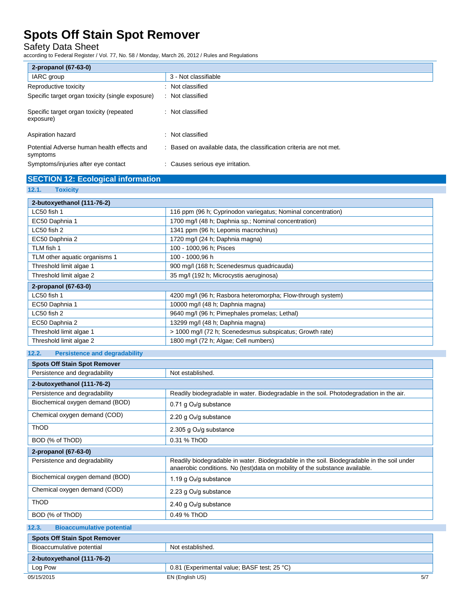#### Safety Data Sheet

according to Federal Register / Vol. 77, No. 58 / Monday, March 26, 2012 / Rules and Regulations

| 2-propanol (67-63-0)                                   |                                                                     |
|--------------------------------------------------------|---------------------------------------------------------------------|
| IARC group                                             | 3 - Not classifiable                                                |
| Reproductive toxicity                                  | Not classified                                                      |
| Specific target organ toxicity (single exposure)       | : Not classified                                                    |
| Specific target organ toxicity (repeated<br>exposure)  | : Not classified                                                    |
| Aspiration hazard<br>٠.                                | Not classified                                                      |
| Potential Adverse human health effects and<br>symptoms | : Based on available data, the classification criteria are not met. |
| Symptoms/injuries after eye contact                    | Causes serious eye irritation.                                      |

#### **SECTION 12: Ecological information**

**12.1. Toxicity**

| 2-butoxyethanol (111-76-2)    |                                                              |  |
|-------------------------------|--------------------------------------------------------------|--|
| LC50 fish 1                   | 116 ppm (96 h; Cyprinodon variegatus; Nominal concentration) |  |
| EC50 Daphnia 1                | 1700 mg/l (48 h; Daphnia sp.; Nominal concentration)         |  |
| LC50 fish 2                   | 1341 ppm (96 h; Lepomis macrochirus)                         |  |
| EC50 Daphnia 2                | 1720 mg/l (24 h; Daphnia magna)                              |  |
| TLM fish 1                    | 100 - 1000,96 h; Pisces                                      |  |
| TLM other aquatic organisms 1 | 100 - 1000,96 h                                              |  |
| Threshold limit algae 1       | 900 mg/l (168 h; Scenedesmus quadricauda)                    |  |
| Threshold limit algae 2       | 35 mg/l (192 h; Microcystis aeruginosa)                      |  |
| 2-propanol (67-63-0)          |                                                              |  |
| LC50 fish 1                   | 4200 mg/l (96 h; Rasbora heteromorpha; Flow-through system)  |  |
| EC50 Daphnia 1                | 10000 mg/l (48 h; Daphnia magna)                             |  |
| LC50 fish 2                   | 9640 mg/l (96 h; Pimephales promelas; Lethal)                |  |
| EC50 Daphnia 2                | 13299 mg/l (48 h; Daphnia magna)                             |  |
| Threshold limit algae 1       | > 1000 mg/l (72 h; Scenedesmus subspicatus; Growth rate)     |  |
| Threshold limit algae 2       | 1800 mg/l (72 h; Algae; Cell numbers)                        |  |

#### **12.2. Persistence and degradability**

| <b>Spots Off Stain Spot Remover</b>       |                                                                                                                                                                           |  |
|-------------------------------------------|---------------------------------------------------------------------------------------------------------------------------------------------------------------------------|--|
| Persistence and degradability             | Not established.                                                                                                                                                          |  |
| 2-butoxyethanol (111-76-2)                |                                                                                                                                                                           |  |
| Persistence and degradability             | Readily biodegradable in water. Biodegradable in the soil. Photodegradation in the air.                                                                                   |  |
| Biochemical oxygen demand (BOD)           | 0.71 g O <sub>2</sub> /g substance                                                                                                                                        |  |
| Chemical oxygen demand (COD)              | 2.20 g $O_2$ /g substance                                                                                                                                                 |  |
| ThOD                                      | 2.305 g O <sub>2</sub> /g substance                                                                                                                                       |  |
| BOD (% of ThOD)                           | 0.31 % ThOD                                                                                                                                                               |  |
| 2-propanol (67-63-0)                      |                                                                                                                                                                           |  |
| Persistence and degradability             | Readily biodegradable in water. Biodegradable in the soil. Biodegradable in the soil under<br>anaerobic conditions. No (test)data on mobility of the substance available. |  |
| Biochemical oxygen demand (BOD)           | 1.19 g O <sub>2</sub> /g substance                                                                                                                                        |  |
| Chemical oxygen demand (COD)              | 2.23 g O <sub>2</sub> /g substance                                                                                                                                        |  |
| ThOD                                      | 2.40 g $O_2$ /g substance                                                                                                                                                 |  |
| BOD (% of ThOD)                           | 0.49 % ThOD                                                                                                                                                               |  |
| 12.3.<br><b>Bioaccumulative potential</b> |                                                                                                                                                                           |  |
| <b>Spots Off Stain Spot Remover</b>       |                                                                                                                                                                           |  |
| Bioaccumulative potential                 | Not established.                                                                                                                                                          |  |
| 2-butoxyethanol (111-76-2)                |                                                                                                                                                                           |  |
| Log Pow                                   | 0.81 (Experimental value; BASF test; 25 °C)                                                                                                                               |  |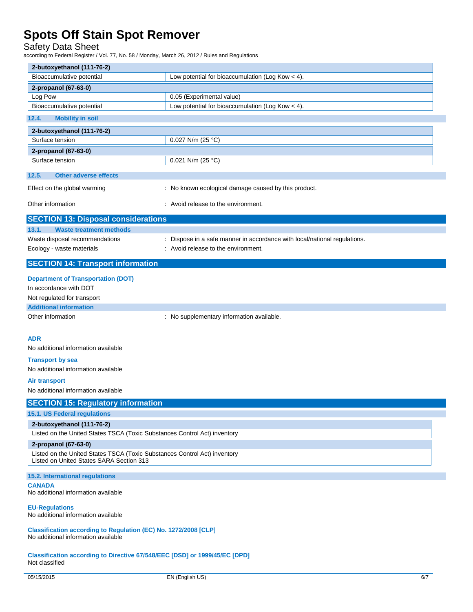Safety Data Sheet

according to Federal Register / Vol. 77, No. 58 / Monday, March 26, 2012 / Rules and Regulations

| 2-butoxyethanol (111-76-2)                                                                                            |                                                                           |  |
|-----------------------------------------------------------------------------------------------------------------------|---------------------------------------------------------------------------|--|
| Bioaccumulative potential                                                                                             | Low potential for bioaccumulation (Log Kow $<$ 4).                        |  |
| 2-propanol (67-63-0)                                                                                                  |                                                                           |  |
| Log Pow                                                                                                               | 0.05 (Experimental value)                                                 |  |
| Bioaccumulative potential                                                                                             | Low potential for bioaccumulation (Log Kow < 4).                          |  |
| 12.4.<br><b>Mobility in soil</b>                                                                                      |                                                                           |  |
| 2-butoxyethanol (111-76-2)                                                                                            |                                                                           |  |
| Surface tension                                                                                                       | 0.027 N/m (25 °C)                                                         |  |
| 2-propanol (67-63-0)                                                                                                  |                                                                           |  |
| Surface tension                                                                                                       | 0.021 N/m (25 °C)                                                         |  |
| 12.5.<br><b>Other adverse effects</b>                                                                                 |                                                                           |  |
| Effect on the global warming                                                                                          | : No known ecological damage caused by this product.                      |  |
| Other information                                                                                                     | : Avoid release to the environment.                                       |  |
| <b>SECTION 13: Disposal considerations</b>                                                                            |                                                                           |  |
| 13.1.<br><b>Waste treatment methods</b>                                                                               |                                                                           |  |
| Waste disposal recommendations                                                                                        | : Dispose in a safe manner in accordance with local/national regulations. |  |
| Ecology - waste materials                                                                                             | : Avoid release to the environment.                                       |  |
| <b>SECTION 14: Transport information</b>                                                                              |                                                                           |  |
| <b>Department of Transportation (DOT)</b>                                                                             |                                                                           |  |
| In accordance with DOT                                                                                                |                                                                           |  |
| Not regulated for transport                                                                                           |                                                                           |  |
| <b>Additional information</b>                                                                                         |                                                                           |  |
| Other information                                                                                                     | : No supplementary information available.                                 |  |
|                                                                                                                       |                                                                           |  |
| <b>ADR</b>                                                                                                            |                                                                           |  |
| No additional information available                                                                                   |                                                                           |  |
| <b>Transport by sea</b>                                                                                               |                                                                           |  |
| No additional information available                                                                                   |                                                                           |  |
| <b>Air transport</b>                                                                                                  |                                                                           |  |
| No additional information available                                                                                   |                                                                           |  |
| <b>SECTION 15: Regulatory information</b>                                                                             |                                                                           |  |
| <b>15.1. US Federal regulations</b>                                                                                   |                                                                           |  |
| 2-butoxyethanol (111-76-2)                                                                                            |                                                                           |  |
| Listed on the United States TSCA (Toxic Substances Control Act) inventory                                             |                                                                           |  |
| 2-propanol (67-63-0)                                                                                                  |                                                                           |  |
| Listed on the United States TSCA (Toxic Substances Control Act) inventory<br>Listed on United States SARA Section 313 |                                                                           |  |
| 15.2. International regulations                                                                                       |                                                                           |  |
| <b>CANADA</b><br>No additional information available                                                                  |                                                                           |  |
| <b>EU-Regulations</b><br>No additional information available                                                          |                                                                           |  |
| Classification according to Regulation (EC) No. 1272/2008 [CLP]                                                       |                                                                           |  |
|                                                                                                                       |                                                                           |  |

No additional information available

**Classification according to Directive 67/548/EEC [DSD] or 1999/45/EC [DPD]** Not classified